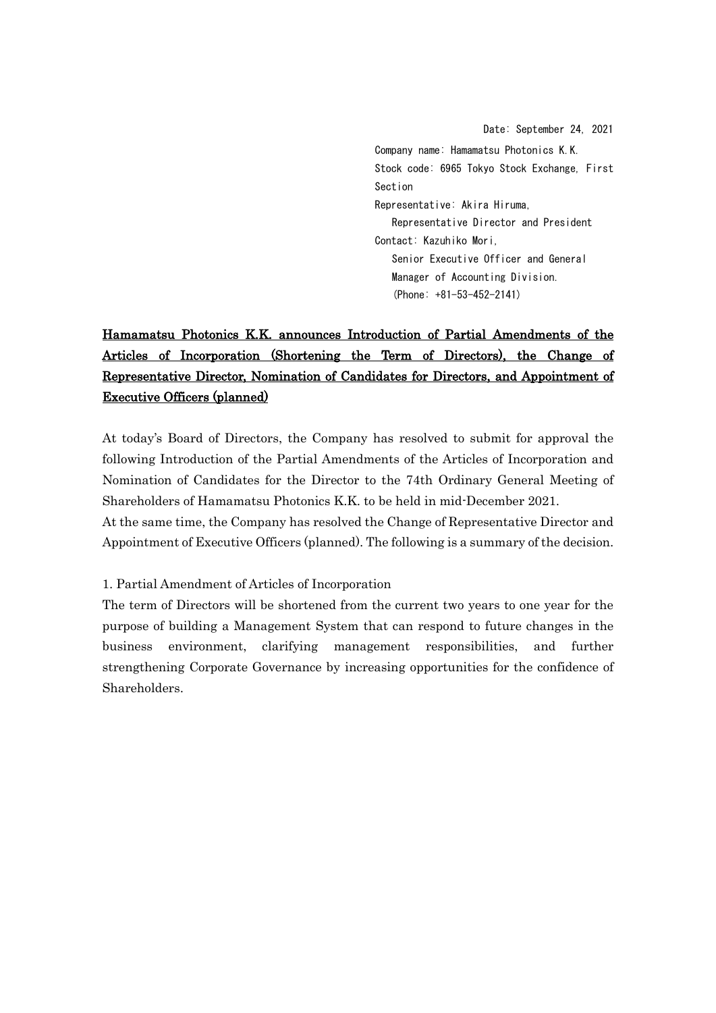Date: September 24, 2021 Company name: Hamamatsu Photonics K.K. Stock code: 6965 Tokyo Stock Exchange, First Section Representative: Akira Hiruma, Representative Director and President Contact: Kazuhiko Mori, Senior Executive Officer and General Manager of Accounting Division. (Phone: +81-53-452-2141)

# Hamamatsu Photonics K.K. announces Introduction of Partial Amendments of the Articles of Incorporation (Shortening the Term of Directors), the Change of Representative Director, Nomination of Candidates for Directors, and Appointment of Executive Officers (planned)

At today's Board of Directors, the Company has resolved to submit for approval the following Introduction of the Partial Amendments of the Articles of Incorporation and Nomination of Candidates for the Director to the 74th Ordinary General Meeting of Shareholders of Hamamatsu Photonics K.K. to be held in mid-December 2021.

At the same time, the Company has resolved the Change of Representative Director and Appointment of Executive Officers (planned). The following is a summary of the decision.

#### 1. Partial Amendment of Articles of Incorporation

The term of Directors will be shortened from the current two years to one year for the purpose of building a Management System that can respond to future changes in the business environment, clarifying management responsibilities, and further strengthening Corporate Governance by increasing opportunities for the confidence of Shareholders.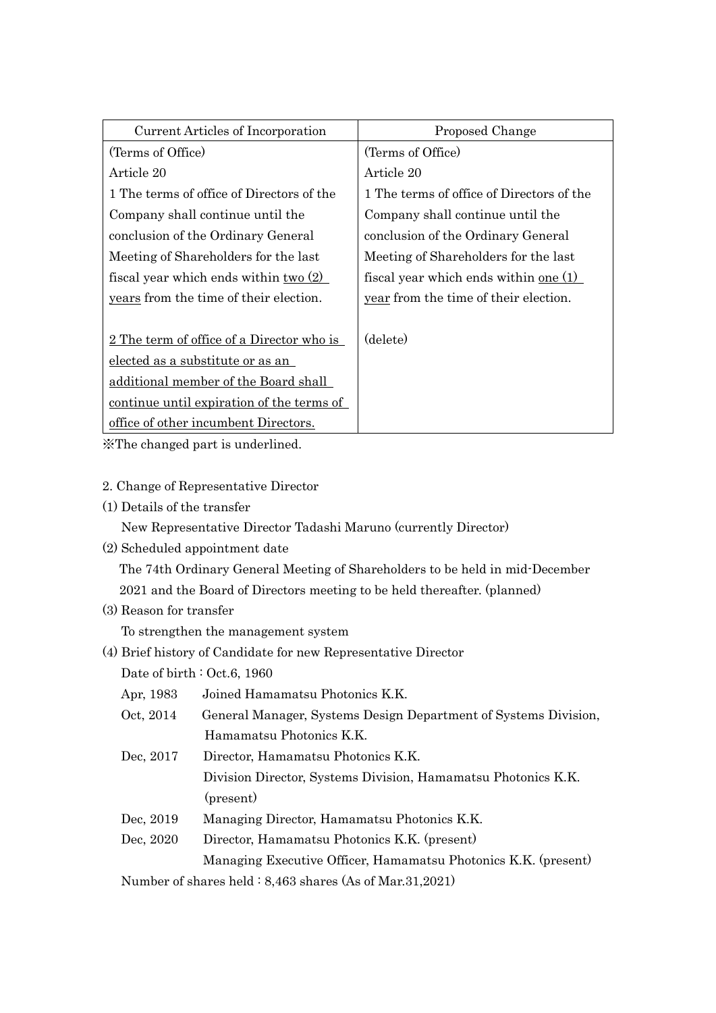| Current Articles of Incorporation                | Proposed Change                              |
|--------------------------------------------------|----------------------------------------------|
| (Terms of Office)                                | (Terms of Office)                            |
| Article 20                                       | Article 20                                   |
| 1 The terms of office of Directors of the        | 1 The terms of office of Directors of the    |
| Company shall continue until the                 | Company shall continue until the             |
| conclusion of the Ordinary General               | conclusion of the Ordinary General           |
| Meeting of Shareholders for the last             | Meeting of Shareholders for the last         |
| fiscal year which ends within $\text{two} (2)$   | fiscal year which ends within <u>one</u> (1) |
| years from the time of their election.           | year from the time of their election.        |
|                                                  |                                              |
| <u>2 The term of office of a Director who is</u> | (delete)                                     |
| elected as a substitute or as an                 |                                              |
| additional member of the Board shall             |                                              |
| continue until expiration of the terms of        |                                              |
| office of other incumbent Directors.             |                                              |

※The changed part is underlined.

#### 2. Change of Representative Director

(1) Details of the transfer

New Representative Director Tadashi Maruno (currently Director)

(2) Scheduled appointment date

The 74th Ordinary General Meeting of Shareholders to be held in mid-December 2021 and the Board of Directors meeting to be held thereafter. (planned)

(3) Reason for transfer

To strengthen the management system

(4) Brief history of Candidate for new Representative Director

Date of birth : Oct.6, 1960

| Apr, 1983                                                                                                                                  | Joined Hamamatsu Photonics K.K.                                 |
|--------------------------------------------------------------------------------------------------------------------------------------------|-----------------------------------------------------------------|
| Oct, 2014                                                                                                                                  | General Manager, Systems Design Department of Systems Division, |
|                                                                                                                                            | Hamamatsu Photonics K.K.                                        |
| Dec, 2017                                                                                                                                  | Director, Hamamatsu Photonics K.K.                              |
|                                                                                                                                            | Division Director, Systems Division, Hamamatsu Photonics K.K.   |
|                                                                                                                                            | (present)                                                       |
| Dec, 2019                                                                                                                                  | Managing Director, Hamamatsu Photonics K.K.                     |
| Dec, 2020                                                                                                                                  | Director, Hamamatsu Photonics K.K. (present)                    |
|                                                                                                                                            | Managing Executive Officer, Hamamatsu Photonics K.K. (present)  |
| Month on $f_{\text{obs}}$ and $f_{\text{obs}}$ and $f_{\text{obs}}$ and $f_{\text{obs}}$ (A $f_{\text{obs}}$ (M $_{\text{obs}}$ 91, 90.91) |                                                                 |

Number of shares held : 8,463 shares (As of Mar.31,2021)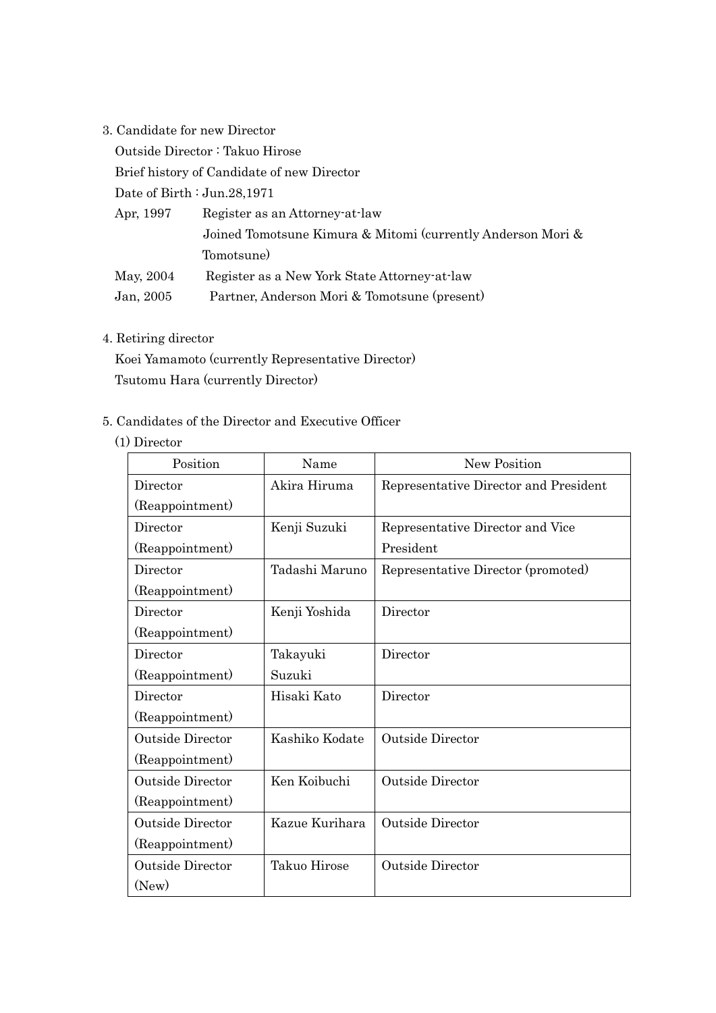3. Candidate for new Director

Outside Director : Takuo Hirose

Brief history of Candidate of new Director

Date of Birth : Jun.28,1971

| Apr, 1997 | Register as an Attorney at law                              |  |
|-----------|-------------------------------------------------------------|--|
|           | Joined Tomotsune Kimura & Mitomi (currently Anderson Mori & |  |
|           | Tomotsune)                                                  |  |
| May, 2004 | Register as a New York State Attorney-at-law                |  |
| Jan, 2005 | Partner, Anderson Mori & Tomotsune (present)                |  |

### 4. Retiring director

Koei Yamamoto (currently Representative Director) Tsutomu Hara (currently Director)

#### 5. Candidates of the Director and Executive Officer

(1) Director

| Position                | Name           | New Position                          |
|-------------------------|----------------|---------------------------------------|
| Director                | Akira Hiruma   | Representative Director and President |
| (Reappointment)         |                |                                       |
| Director                | Kenji Suzuki   | Representative Director and Vice      |
| (Reappointment)         |                | President                             |
| Director                | Tadashi Maruno | Representative Director (promoted)    |
| (Reappointment)         |                |                                       |
| Director                | Kenji Yoshida  | Director                              |
| (Reappointment)         |                |                                       |
| Director                | Takayuki       | Director                              |
| (Reappointment)         | Suzuki         |                                       |
| Director                | Hisaki Kato    | Director                              |
| (Reappointment)         |                |                                       |
| <b>Outside Director</b> | Kashiko Kodate | <b>Outside Director</b>               |
| (Reappointment)         |                |                                       |
| <b>Outside Director</b> | Ken Koibuchi   | <b>Outside Director</b>               |
| (Reappointment)         |                |                                       |
| <b>Outside Director</b> | Kazue Kurihara | <b>Outside Director</b>               |
| (Reappointment)         |                |                                       |
| <b>Outside Director</b> | Takuo Hirose   | <b>Outside Director</b>               |
| (New)                   |                |                                       |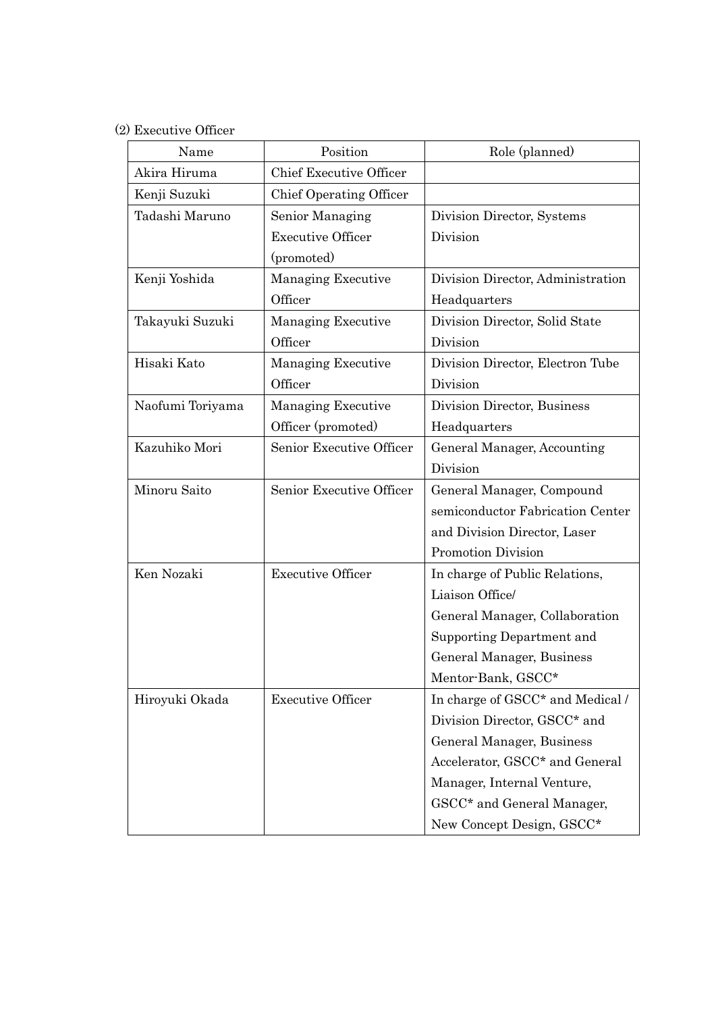## (2) Executive Officer

| Name             | Position                       | Role (planned)                    |
|------------------|--------------------------------|-----------------------------------|
| Akira Hiruma     | <b>Chief Executive Officer</b> |                                   |
| Kenji Suzuki     | Chief Operating Officer        |                                   |
| Tadashi Maruno   | Senior Managing                | Division Director, Systems        |
|                  | <b>Executive Officer</b>       | Division                          |
|                  | (promoted)                     |                                   |
| Kenji Yoshida    | Managing Executive             | Division Director, Administration |
|                  | Officer                        | Headquarters                      |
| Takayuki Suzuki  | <b>Managing Executive</b>      | Division Director, Solid State    |
|                  | Officer                        | Division                          |
| Hisaki Kato      | Managing Executive             | Division Director, Electron Tube  |
|                  | Officer                        | Division                          |
| Naofumi Toriyama | <b>Managing Executive</b>      | Division Director, Business       |
|                  | Officer (promoted)             | Headquarters                      |
| Kazuhiko Mori    | Senior Executive Officer       | General Manager, Accounting       |
|                  |                                | Division                          |
| Minoru Saito     | Senior Executive Officer       | General Manager, Compound         |
|                  |                                | semiconductor Fabrication Center  |
|                  |                                | and Division Director, Laser      |
|                  |                                | Promotion Division                |
| Ken Nozaki       | <b>Executive Officer</b>       | In charge of Public Relations,    |
|                  |                                | Liaison Office/                   |
|                  |                                | General Manager, Collaboration    |
|                  |                                | Supporting Department and         |
|                  |                                | General Manager, Business         |
|                  |                                | Mentor-Bank, GSCC*                |
| Hiroyuki Okada   | <b>Executive Officer</b>       | In charge of GSCC* and Medical /  |
|                  |                                | Division Director, GSCC* and      |
|                  |                                | General Manager, Business         |
|                  |                                | Accelerator, GSCC* and General    |
|                  |                                | Manager, Internal Venture,        |
|                  |                                | GSCC* and General Manager,        |
|                  |                                | New Concept Design, GSCC*         |